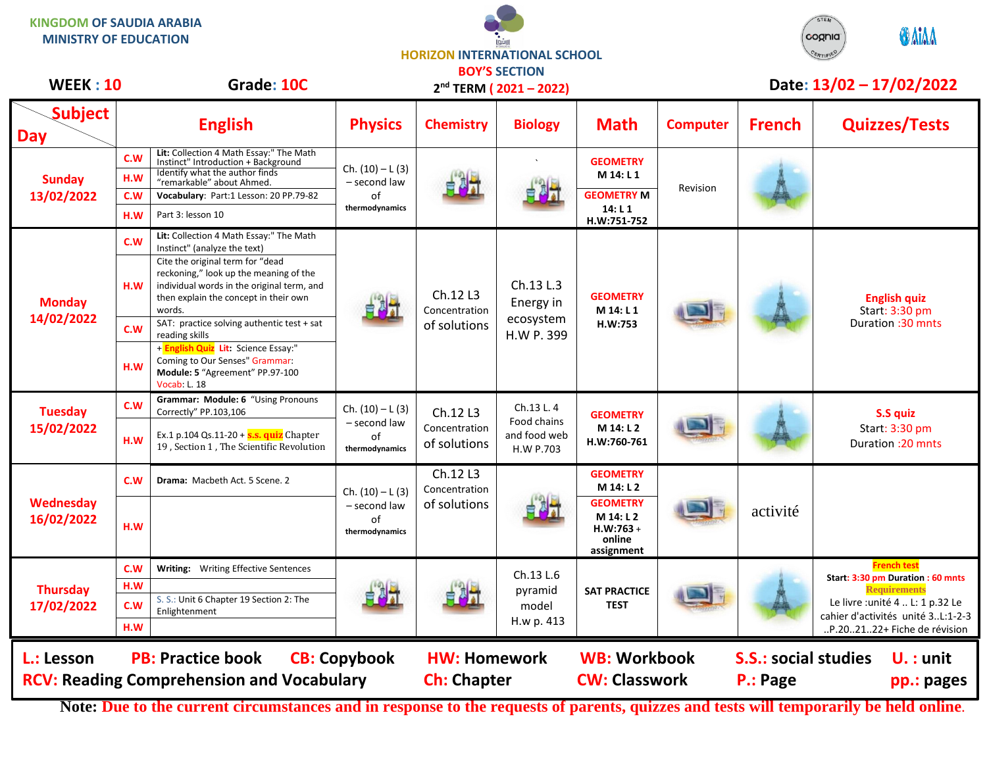**KINGDOM OF SAUDIA ARABIA MINISTRY OF EDUCATION**

**HORIZON INTERNATIONAL SCHOOL BOY'S SECTION**

| <b>WEEK: 10</b>               |                          | Grade: 10C                                                                                                                                                                                                                                                                                                                                                                                                                                         |                                                            |                                           | <b>DUT 3 SECTIUM</b><br>2 <sup>nd</sup> TERM (2021-2022) |                                                                                                     |                 |                                         | Date: 13/02 - 17/02/2022                                                                                                                                                               |
|-------------------------------|--------------------------|----------------------------------------------------------------------------------------------------------------------------------------------------------------------------------------------------------------------------------------------------------------------------------------------------------------------------------------------------------------------------------------------------------------------------------------------------|------------------------------------------------------------|-------------------------------------------|----------------------------------------------------------|-----------------------------------------------------------------------------------------------------|-----------------|-----------------------------------------|----------------------------------------------------------------------------------------------------------------------------------------------------------------------------------------|
| <b>Subject</b><br><b>Day</b>  |                          | <b>English</b>                                                                                                                                                                                                                                                                                                                                                                                                                                     | <b>Physics</b>                                             | <b>Chemistry</b>                          | <b>Biology</b>                                           | <b>Math</b>                                                                                         | <b>Computer</b> | <b>French</b>                           | <b>Quizzes/Tests</b>                                                                                                                                                                   |
| <b>Sunday</b><br>13/02/2022   | C.W<br>H.W<br>C.W<br>H.W | Lit: Collection 4 Math Essay:" The Math<br>Instinct" Introduction + Background<br>Identify what the author finds<br>"remarkable" about Ahmed.<br>Vocabulary: Part:1 Lesson: 20 PP.79-82<br>Part 3: lesson 10                                                                                                                                                                                                                                       | Ch. $(10) - L(3)$<br>- second law<br>of<br>thermodynamics  | 四                                         |                                                          | <b>GEOMETRY</b><br>M 14: L 1<br><b>GEOMETRY M</b><br>14: L 1<br>H.W:751-752                         | Revision        |                                         |                                                                                                                                                                                        |
| <b>Monday</b><br>14/02/2022   | C.W<br>H.W<br>C.W<br>H.W | Lit: Collection 4 Math Essay:" The Math<br>Instinct" (analyze the text)<br>Cite the original term for "dead<br>reckoning," look up the meaning of the<br>individual words in the original term, and<br>then explain the concept in their own<br>words.<br>SAT: practice solving authentic test + sat<br>reading skills<br>+ English Quiz Lit: Science Essay:"<br>Coming to Our Senses" Grammar:<br>Module: 5 "Agreement" PP.97-100<br>Vocab: L. 18 |                                                            | Ch.12 L3<br>Concentration<br>of solutions | Ch.13 L.3<br>Energy in<br>ecosystem<br>H.W P. 399        | <b>GEOMETRY</b><br>M 14: L 1<br>H.W:753                                                             |                 |                                         | <b>English quiz</b><br>Start: 3:30 pm<br>Duration: 30 mnts                                                                                                                             |
| <b>Tuesday</b><br>15/02/2022  | C.W<br>H.W               | Grammar: Module: 6 "Using Pronouns<br>Correctly" PP.103,106<br>Ex.1 p.104 Qs.11-20 $+$ s.s. quiz Chapter<br>19, Section 1, The Scientific Revolution                                                                                                                                                                                                                                                                                               | Ch. $(10) - L(3)$<br>- second law<br>of<br>thermodynamics  | Ch.12 L3<br>Concentration<br>of solutions | Ch.13 L.4<br>Food chains<br>and food web<br>H.W P.703    | <b>GEOMETRY</b><br>M 14: L 2<br>H.W:760-761                                                         |                 |                                         | S.S quiz<br>Start: 3:30 pm<br>Duration : 20 mnts                                                                                                                                       |
| Wednesday<br>16/02/2022       | C.W<br>H.W               | Drama: Macbeth Act. 5 Scene. 2                                                                                                                                                                                                                                                                                                                                                                                                                     | $Ch. (10) - L (3)$<br>- second law<br>of<br>thermodynamics | Ch.12 L3<br>Concentration<br>of solutions |                                                          | <b>GEOMETRY</b><br>M 14: L 2<br><b>GEOMETRY</b><br>M 14: L 2<br>$H.W:763 +$<br>online<br>assignment |                 | activité                                |                                                                                                                                                                                        |
| <b>Thursday</b><br>17/02/2022 | C.W<br>H.W<br>C.W<br>H.W | Writing: Writing Effective Sentences<br>S. S.: Unit 6 Chapter 19 Section 2: The<br>Enlightenment                                                                                                                                                                                                                                                                                                                                                   |                                                            |                                           | Ch.13 L.6<br>pyramid<br>model<br>H.w p. 413              | <b>SAT PRACTICE</b><br><b>TEST</b>                                                                  |                 |                                         | <b>French test</b><br>Start: 3:30 pm Duration : 60 mnts<br><b>Requirements</b><br>Le livre : unité 4  L: 1 p.32 Le<br>cahier d'activités unité 3L:1-2-3<br>P.202122+ Fiche de révision |
| L.: Lesson                    |                          | <b>PB: Practice book</b><br><b>RCV: Reading Comprehension and Vocabulary</b>                                                                                                                                                                                                                                                                                                                                                                       | <b>CB: Copybook</b>                                        | <b>HW: Homework</b><br><b>Ch: Chapter</b> |                                                          | <b>WB: Workbook</b><br><b>CW: Classwork</b>                                                         |                 | <b>S.S.: social studies</b><br>P.: Page | $U.$ : unit<br>pp.: pages                                                                                                                                                              |

**Note: Due to the current circumstances and in response to the requests of parents, quizzes and tests will temporarily be held online.**